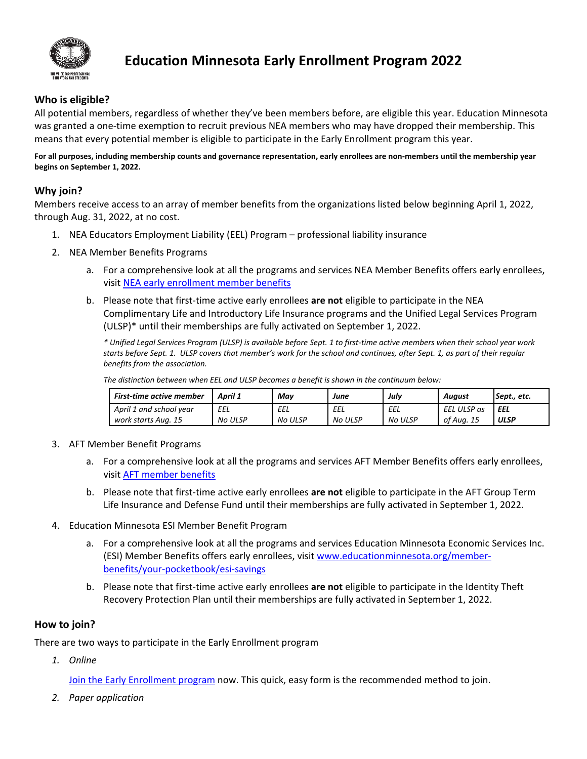

# **Education Minnesota Early Enrollment Program 2022**

## **Who is eligible?**

All potential members, regardless of whether they've been members before, are eligible this year. Education Minnesota was granted a one-time exemption to recruit previous NEA members who may have dropped their membership. This means that every potential member is eligible to participate in the Early Enrollment program this year.

**For all purposes, including membership counts and governance representation, early enrollees are non-members until the membership year begins on September 1, 2022.**

### **Why join?**

Members receive access to an array of member benefits from the organizations listed below beginning April 1, 2022, through Aug. 31, 2022, at no cost.

- 1. NEA Educators Employment Liability (EEL) Program professional liability insurance
- 2. NEA Member Benefits Programs
	- a. For a comprehensive look at all the programs and services NEA Member Benefits offers early enrollees, visit [NEA early enrollment member benefits](https://www.neamb.com/pages/early-enrollee-welcome?utm_source=TG001258&utm_medium=print&utm_content=earlyenrolleewelcome&utm_campaign=TG001064)
	- b. Please note that first-time active early enrollees **are not** eligible to participate in the NEA Complimentary Life and Introductory Life Insurance programs and the Unified Legal Services Program (ULSP)\* until their memberships are fully activated on September 1, 2022.

*\* Unified Legal Services Program (ULSP) is available before Sept. 1 to first-time active members when their school year work starts before Sept. 1. ULSP covers that member's work for the school and continues, after Sept. 1, as part of their regular benefits from the association.* 

*The distinction between when EEL and ULSP becomes a benefit is shown in the continuum below:*

| <b>First-time active member</b> | April 1        | Mav            | June           | Julv    | Auaust      | Sept., etc. |
|---------------------------------|----------------|----------------|----------------|---------|-------------|-------------|
| April 1 and school year         | EEL            | EEL            | EEL            | EEL     | EEL ULSP as | EEL         |
| work starts Aug. 15             | <b>No ULSP</b> | <b>No ULSP</b> | <b>No ULSP</b> | No ULSP | of Aug. 15  | <b>ULSP</b> |

- 3. AFT Member Benefit Programs
	- a. For a comprehensive look at all the programs and services AFT Member Benefits offers early enrollees, visi[t AFT member benefits](https://www.aft.org/member-benefits)
	- b. Please note that first-time active early enrollees **are not** eligible to participate in the AFT Group Term Life Insurance and Defense Fund until their memberships are fully activated in September 1, 2022.
- 4. Education Minnesota ESI Member Benefit Program
	- a. For a comprehensive look at all the programs and services Education Minnesota Economic Services Inc. (ESI) Member Benefits offers early enrollees, visi[t www.educationminnesota.org/member](http://www.educationminnesota.org/member-benefits/your-pocketbook/esi-savings)[benefits/your-pocketbook/esi-savings](http://www.educationminnesota.org/member-benefits/your-pocketbook/esi-savings)
	- b. Please note that first-time active early enrollees **are not** eligible to participate in the Identity Theft Recovery Protection Plan until their memberships are fully activated in September 1, 2022.

#### **How to join?**

There are two ways to participate in the Early Enrollment program

*1. Online*

[Join the Early Enrollment program](https://join.nea.org/minnesota/) now. This quick, easy form is the recommended method to join.

*2. Paper application*